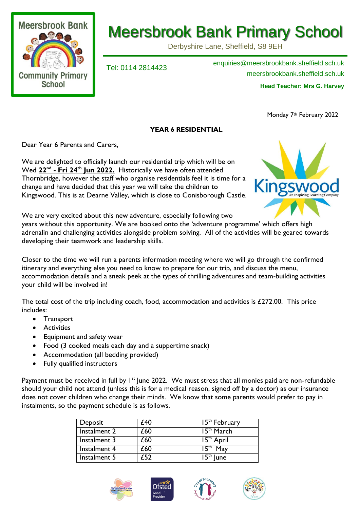

## Meersbrook Bank Primary School

Derbyshire Lane, Sheffield, S8 9EH

Tel: 0114 2814423 enquiries@meersbrookbank.sheffield.sch.uk meersbrookbank.sheffield.sch.uk **Head Teacher: Mrs G. Harvey** 

Monday 7<sup>th</sup> February 2022

## **YEAR 6 RESIDENTIAL**

Dear Year 6 Parents and Carers,

We are delighted to officially launch our residential trip which will be on Wed **22nd - Fri 24th Jun 2022.** Historically we have often attended Thornbridge, however the staff who organise residentials feel it is time for a change and have decided that this year we will take the children to Kingswood. This is at Dearne Valley, which is close to Conisborough Castle.



We are very excited about this new adventure, especially following two

years without this opportunity. We are booked onto the 'adventure programme' which offers high adrenalin and challenging activities alongside problem solving. All of the activities will be geared towards developing their teamwork and leadership skills.

Closer to the time we will run a parents information meeting where we will go through the confirmed itinerary and everything else you need to know to prepare for our trip, and discuss the menu, accommodation details and a sneak peek at the types of thrilling adventures and team-building activities your child will be involved in!

The total cost of the trip including coach, food, accommodation and activities is £272.00. This price includes:

- Transport
- **•** Activities
- Equipment and safety wear
- Food (3 cooked meals each day and a suppertime snack)
- Accommodation (all bedding provided)
- Fully qualified instructors

Payment must be received in full by 1<sup>st</sup> June 2022. We must stress that all monies paid are non-refundable should your child not attend (unless this is for a medical reason, signed off by a doctor) as our insurance does not cover children who change their minds. We know that some parents would prefer to pay in instalments, so the payment schedule is as follows.

| Deposit      | £40 | 15 <sup>th</sup> February  |
|--------------|-----|----------------------------|
| Instalment 2 | £60 | $\overline{15^{th}}$ March |
| Instalment 3 | £60 | 15 <sup>th</sup> April     |
| Instalment 4 | £60 | 15 <sup>m</sup><br>Mav     |
| Instalment 5 |     | 15 <sup>th</sup><br>lune   |